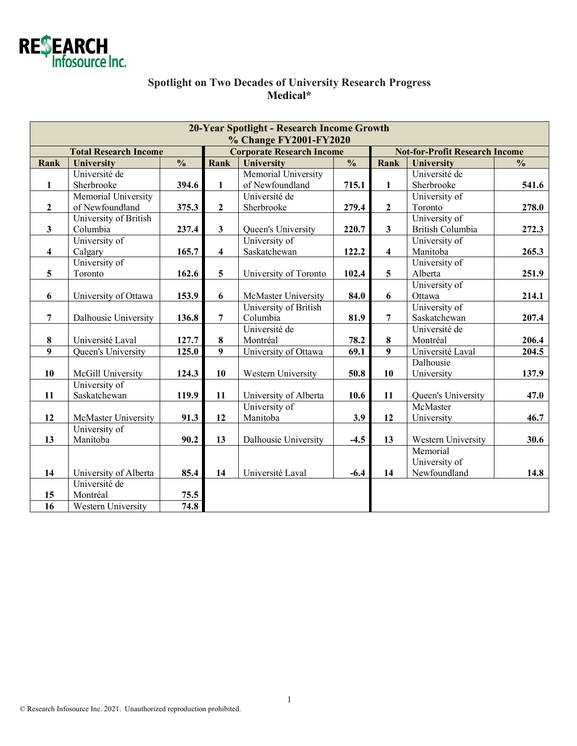

# **Spotlight on Two Decades of University Research Progress Medical\***

| 20-Year Spotlight - Research Income Growth<br>% Change FY2001-FY2020 |                            |                          |                                  |                            |                          |                                       |                         |                          |  |  |  |  |
|----------------------------------------------------------------------|----------------------------|--------------------------|----------------------------------|----------------------------|--------------------------|---------------------------------------|-------------------------|--------------------------|--|--|--|--|
| <b>Total Research Income</b>                                         |                            |                          | <b>Corporate Research Income</b> |                            |                          | <b>Not-for-Profit Research Income</b> |                         |                          |  |  |  |  |
| Rank                                                                 | <b>University</b>          | $\overline{\frac{0}{0}}$ | Rank                             | University                 | $\overline{\frac{0}{0}}$ | Rank                                  | University              | $\overline{\frac{0}{0}}$ |  |  |  |  |
|                                                                      | Université de              |                          |                                  | Memorial University        |                          |                                       | Université de           |                          |  |  |  |  |
| $\mathbf{1}$                                                         | Sherbrooke                 | 394.6                    | $\mathbf{1}$                     | of Newfoundland            | 715.1                    | $\mathbf{1}$                          | Sherbrooke              | 541.6                    |  |  |  |  |
|                                                                      | Memorial University        |                          |                                  | Université de              |                          |                                       | University of           |                          |  |  |  |  |
| $\mathbf{2}$                                                         | of Newfoundland            | 375.3                    | $\overline{2}$                   | Sherbrooke                 | 279.4                    | $\mathbf{2}$                          | Toronto                 | 278.0                    |  |  |  |  |
|                                                                      | University of British      |                          |                                  |                            |                          |                                       | University of           |                          |  |  |  |  |
| $\mathbf{3}$                                                         | Columbia                   | 237.4                    | $\mathbf{3}$                     | Queen's University         | 220.7                    | $\overline{\mathbf{3}}$               | <b>British Columbia</b> | 272.3                    |  |  |  |  |
|                                                                      | University of              |                          |                                  | University of              |                          |                                       | University of           |                          |  |  |  |  |
| $\overline{\mathbf{4}}$                                              | Calgary                    | 165.7                    | $\overline{\mathbf{4}}$          | Saskatchewan               | 122.2                    | $\overline{\mathbf{4}}$               | Manitoba                | 265.3                    |  |  |  |  |
|                                                                      | University of              |                          |                                  |                            |                          |                                       | University of           |                          |  |  |  |  |
| 5                                                                    | Toronto                    | 162.6                    | 5                                | University of Toronto      | 102.4                    | 5                                     | Alberta                 | 251.9                    |  |  |  |  |
|                                                                      |                            |                          |                                  |                            |                          |                                       | University of           |                          |  |  |  |  |
| 6                                                                    | University of Ottawa       | 153.9                    | 6                                | <b>McMaster University</b> | 84.0                     | 6                                     | Ottawa                  | 214.1                    |  |  |  |  |
|                                                                      |                            |                          |                                  | University of British      |                          |                                       | University of           |                          |  |  |  |  |
| $\overline{7}$                                                       | Dalhousie University       | 136.8                    | $\overline{7}$                   | Columbia                   | 81.9                     | $\overline{7}$                        | Saskatchewan            | 207.4                    |  |  |  |  |
|                                                                      |                            |                          |                                  | Université de              |                          |                                       | Université de           |                          |  |  |  |  |
| 8                                                                    | Université Laval           | 127.7                    | 8                                | Montréal                   | 78.2                     | 8                                     | Montréal                | 206.4                    |  |  |  |  |
| $\overline{9}$                                                       | Queen's University         | 125.0                    | 9                                | University of Ottawa       | 69.1                     | 9                                     | Université Laval        | 204.5                    |  |  |  |  |
|                                                                      |                            |                          |                                  |                            |                          |                                       | Dalhousie               |                          |  |  |  |  |
| 10                                                                   | McGill University          | 124.3                    | 10                               | Western University         | 50.8                     | 10                                    | University              | 137.9                    |  |  |  |  |
|                                                                      | University of              |                          |                                  |                            |                          |                                       |                         |                          |  |  |  |  |
| 11                                                                   | Saskatchewan               | 119.9                    | 11                               | University of Alberta      | 10.6                     | 11                                    | Queen's University      | 47.0                     |  |  |  |  |
|                                                                      |                            |                          |                                  | University of              |                          |                                       | McMaster                |                          |  |  |  |  |
| 12                                                                   | <b>McMaster University</b> | 91.3                     | 12                               | Manitoba                   | 3.9                      | 12                                    | University              | 46.7                     |  |  |  |  |
|                                                                      | University of              |                          |                                  |                            |                          |                                       |                         |                          |  |  |  |  |
| 13                                                                   | Manitoba                   | 90.2                     | 13                               | Dalhousie University       | $-4.5$                   | 13                                    | Western University      | 30.6                     |  |  |  |  |
|                                                                      |                            |                          |                                  |                            |                          |                                       | Memorial                |                          |  |  |  |  |
|                                                                      |                            |                          |                                  |                            |                          |                                       | University of           |                          |  |  |  |  |
| 14                                                                   | University of Alberta      | 85.4                     | 14                               | Université Laval           | $-6.4$                   | 14                                    | Newfoundland            | 14.8                     |  |  |  |  |
|                                                                      | Université de              |                          |                                  |                            |                          |                                       |                         |                          |  |  |  |  |
| 15                                                                   | Montréal                   | 75.5                     |                                  |                            |                          |                                       |                         |                          |  |  |  |  |
| 16                                                                   | Western University         | 74.8                     |                                  |                            |                          |                                       |                         |                          |  |  |  |  |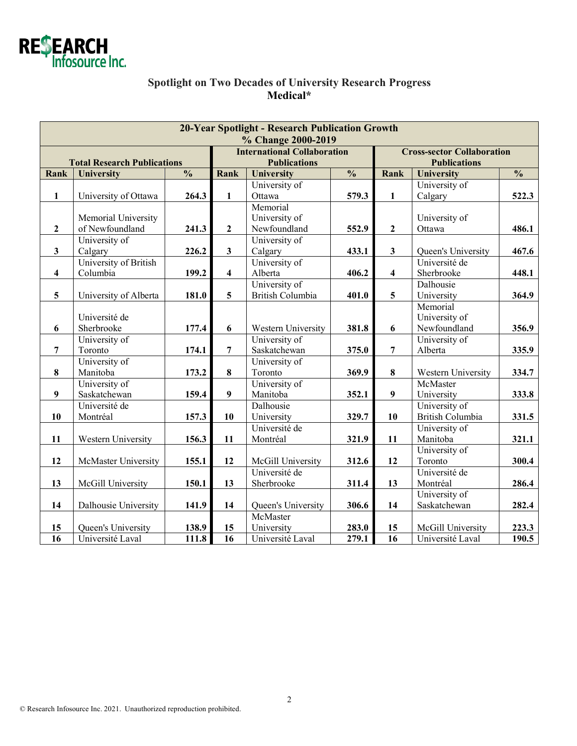

# **Spotlight on Two Decades of University Research Progress Medical\***

| <b>20-Year Spotlight - Research Publication Growth</b><br>% Change 2000-2019 |                            |               |                                    |                         |               |                                   |                    |               |  |  |
|------------------------------------------------------------------------------|----------------------------|---------------|------------------------------------|-------------------------|---------------|-----------------------------------|--------------------|---------------|--|--|
|                                                                              |                            |               | <b>International Collaboration</b> |                         |               | <b>Cross-sector Collaboration</b> |                    |               |  |  |
| <b>Total Research Publications</b>                                           |                            |               | <b>Publications</b>                |                         |               | <b>Publications</b>               |                    |               |  |  |
| Rank                                                                         | University                 | $\frac{0}{0}$ | <b>Rank</b>                        | <b>University</b>       | $\frac{0}{0}$ | Rank                              | University         | $\frac{0}{0}$ |  |  |
|                                                                              |                            |               |                                    | University of           |               |                                   | University of      |               |  |  |
| $\mathbf{1}$                                                                 | University of Ottawa       | 264.3         | $\mathbf{1}$                       | Ottawa                  | 579.3         | $\mathbf{1}$                      | Calgary            | 522.3         |  |  |
|                                                                              |                            |               |                                    | Memorial                |               |                                   |                    |               |  |  |
|                                                                              | Memorial University        |               |                                    | University of           |               |                                   | University of      |               |  |  |
| $\boldsymbol{2}$                                                             | of Newfoundland            | 241.3         | $\mathbf{2}$                       | Newfoundland            | 552.9         | $\overline{2}$                    | Ottawa             | 486.1         |  |  |
|                                                                              | University of              |               |                                    | University of           |               |                                   |                    |               |  |  |
| $\mathbf{3}$                                                                 | Calgary                    | 226.2         | $\mathbf{3}$                       | Calgary                 | 433.1         | $\mathbf{3}$                      | Queen's University | 467.6         |  |  |
|                                                                              | University of British      |               |                                    | University of           |               |                                   | Université de      |               |  |  |
| $\overline{\mathbf{4}}$                                                      | Columbia                   | 199.2         | $\overline{\mathbf{4}}$            | Alberta                 | 406.2         | 4                                 | Sherbrooke         | 448.1         |  |  |
|                                                                              |                            |               |                                    | University of           |               |                                   | Dalhousie          |               |  |  |
| 5                                                                            | University of Alberta      | 181.0         | 5                                  | <b>British Columbia</b> | 401.0         | 5                                 | University         | 364.9         |  |  |
|                                                                              |                            |               |                                    |                         |               |                                   | Memorial           |               |  |  |
|                                                                              | Université de              |               |                                    |                         |               |                                   | University of      |               |  |  |
| 6                                                                            | Sherbrooke                 | 177.4         | 6                                  | Western University      | 381.8         | 6                                 | Newfoundland       | 356.9         |  |  |
|                                                                              | University of              |               |                                    | University of           |               |                                   | University of      |               |  |  |
| $\overline{7}$                                                               | Toronto                    | 174.1         | $\overline{7}$                     | Saskatchewan            | 375.0         | $\overline{7}$                    | Alberta            | 335.9         |  |  |
|                                                                              | University of              |               |                                    | University of           |               |                                   |                    |               |  |  |
| 8                                                                            | Manitoba                   | 173.2         | $\pmb{8}$                          | Toronto                 | 369.9         | $\bf{8}$                          | Western University | 334.7         |  |  |
|                                                                              | University of              |               |                                    | University of           |               |                                   | McMaster           |               |  |  |
| 9                                                                            | Saskatchewan               | 159.4         | $\boldsymbol{9}$                   | Manitoba                | 352.1         | 9                                 | University         | 333.8         |  |  |
|                                                                              | Université de              |               |                                    | Dalhousie               |               |                                   | University of      |               |  |  |
| 10                                                                           | Montréal                   | 157.3         | 10                                 | University              | 329.7         | 10                                | British Columbia   | 331.5         |  |  |
|                                                                              |                            |               |                                    | Université de           |               |                                   | University of      |               |  |  |
| 11                                                                           | Western University         | 156.3         | 11                                 | Montréal                | 321.9         | 11                                | Manitoba           | 321.1         |  |  |
|                                                                              |                            |               |                                    |                         |               |                                   | University of      |               |  |  |
| 12                                                                           | <b>McMaster University</b> | 155.1         | 12                                 | McGill University       | 312.6         | 12                                | Toronto            | 300.4         |  |  |
|                                                                              |                            |               |                                    | Université de           |               |                                   | Université de      |               |  |  |
| 13                                                                           | McGill University          | 150.1         | 13                                 | Sherbrooke              | 311.4         | 13                                | Montréal           | 286.4         |  |  |
|                                                                              |                            |               |                                    |                         |               |                                   | University of      |               |  |  |
| 14                                                                           | Dalhousie University       | 141.9         | 14                                 | Queen's University      | 306.6         | 14                                | Saskatchewan       | 282.4         |  |  |
|                                                                              |                            |               |                                    | McMaster                |               |                                   |                    |               |  |  |
| 15                                                                           | Queen's University         | 138.9         | 15                                 | University              | 283.0         | 15                                | McGill University  | 223.3         |  |  |
| 16                                                                           | Université Laval           | 111.8         | $\overline{16}$                    | Université Laval        | 279.1         | $\overline{16}$                   | Université Laval   | 190.5         |  |  |